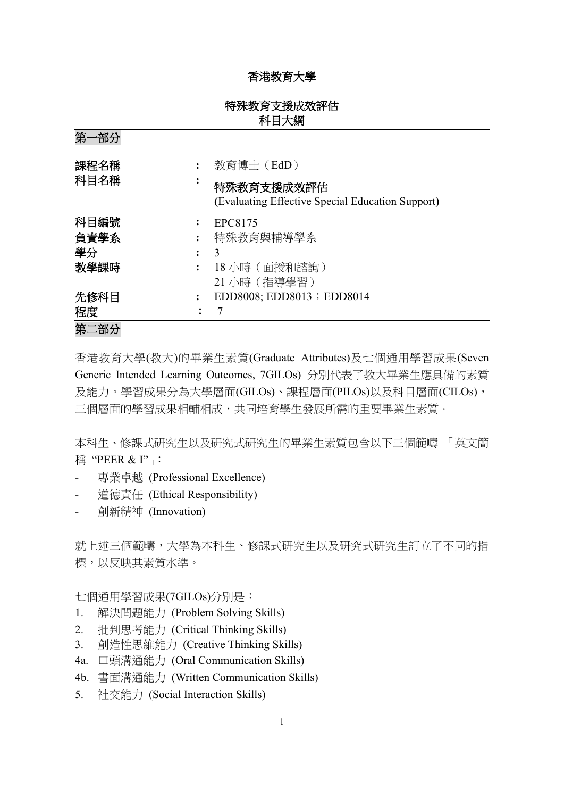# 香港教育大學

# 特殊教育支援成效評估 科目大綱

第一部分 課程名稱 **:** 教育博士(EdD) 科目名稱 **:** 特殊教育支援成效評估 **(**Evaluating Effective Special Education Support**)** 科目編號 **:** EPC8175 負責學系 **:** 特殊教育與輔導學系 學分 **:** 3 教學課時 **:** 18 小時(面授和諮詢) 21 小時(指導學習) 先修科目 : EDD8008; EDD8013; EDD8014 程度:7 第二部分

香港教育大學(教大)的畢業生素質(Graduate Attributes)及七個通用學習成果(Seven Generic Intended Learning Outcomes, 7GILOs) 分別代表了教大畢業生應具備的素質 及能力。學習成果分為大學層面(GILOs)、課程層面(PILOs)以及科目層面(CILOs), 三個層面的學習成果相輔相成,共同培育學生發展所需的重要畢業生素質。

本科生、修課式研究生以及研究式研究生的畢業生素質包含以下三個範疇 「英文簡 稱 "PEER & I"」:

- 專業卓越 (Professional Excellence)
- 道德責任 (Ethical Responsibility)
- 創新精神 (Innovation)

就上述三個範疇,大學為本科生、修課式研究生以及研究式研究生訂立了不同的指 標,以反映其素質水準。

七個通用學習成果(7GILOs)分別是:

- 1. 解決問題能力 (Problem Solving Skills)
- 2. 批判思考能力 (Critical Thinking Skills)
- 3. 創造性思維能力 (Creative Thinking Skills)
- 4a. 口頭溝通能力 (Oral Communication Skills)
- 4b. 書面溝通能力 (Written Communication Skills)
- 5. 社交能力 (Social Interaction Skills)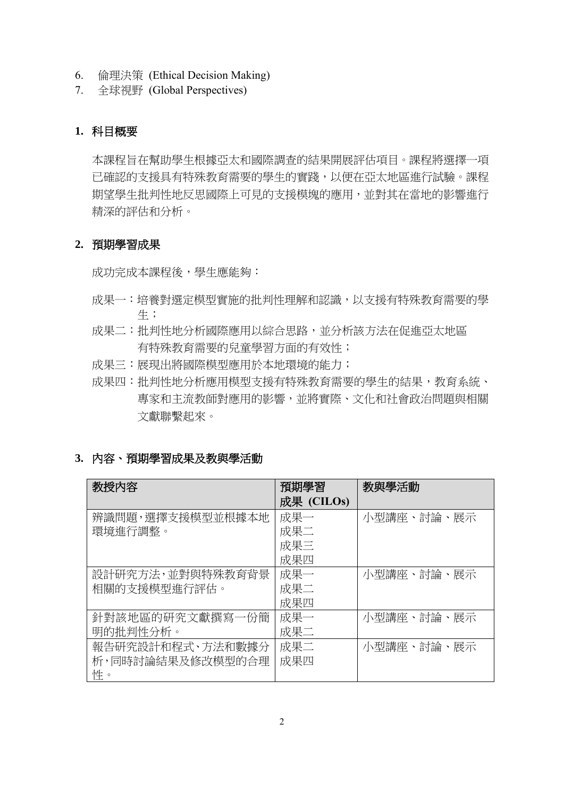- 6. 倫理決策 (Ethical Decision Making)
- 7. 全球視野 (Global Perspectives)

# **1.** 科目概要

本課程旨在幫助學生根據亞太和國際調查的結果開展評估項目。課程將選擇一項 已確認的支援具有特殊教育需要的學生的實踐,以便在亞太地區進行試驗。課程 期望學生批判性地反思國際上可見的支援模塊的應用,並對其在當地的影響進行 精深的評估和分析。

### **2.** 預期學習成果

成功完成本課程後,學生應能夠:

- 成果一:培養對選定模型實施的批判性理解和認識,以支援有特殊教育需要的學 生;
- 成果二:批判性地分析國際應用以綜合思路,並分析該方法在促進亞太地區 有特殊教育需要的兒童學習方面的有效性;
- 成果三:展現出將國際模型應用於本地環境的能力;
- 成果四:批判性地分析應用模型支援有特殊教育需要的學生的結果,教育系統、 專家和主流教師對應用的影響,並將實際、文化和社會政治問題與相關 文獻聯繫起來。

### **3.** 內容、預期學習成果及教與學活動

| 教授内容             | 預期學習       | 教與學活動      |
|------------------|------------|------------|
|                  | 成果 (CILOs) |            |
| 辨識問題,選擇支援模型並根據本地 | 成果一        | 小型講座、討論、展示 |
| 環境進行調整。          | 成果二        |            |
|                  | 成果三        |            |
|                  | 成果四        |            |
| 設計研究方法,並對與特殊教育背景 | 成果一        | 小型講座、討論、展示 |
| 相關的支援模型進行評估。     | 成果二        |            |
|                  | 成果四        |            |
| 針對該地區的研究文獻撰寫一份簡  | 成果一        | 小型講座、討論、展示 |
| 明的批判性分析。         | 成果二        |            |
| 報告研究設計和程式、方法和數據分 | 成果二        | 小型講座、討論、展示 |
| 析,同時討論結果及修改模型的合理 | 成果四        |            |
| 性。               |            |            |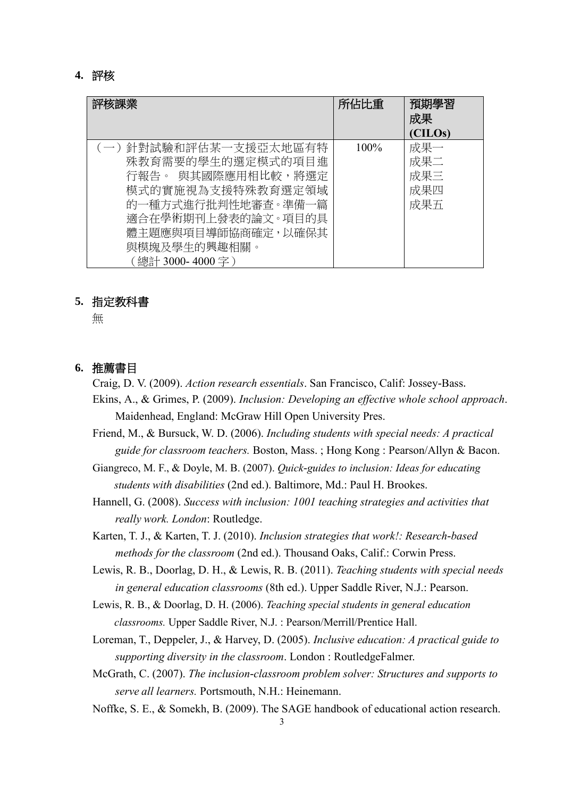### **4.** 評核

| 評核課業                                                                                                                                                                                          | 所佔比重    | 預期學習<br>成果<br>(CILOs)           |
|-----------------------------------------------------------------------------------------------------------------------------------------------------------------------------------------------|---------|---------------------------------|
| (一) 針對試驗和評估某一支援亞太地區有特<br>殊教育需要的學生的選定模式的項目進<br>行報告。 與其國際應用相比較,將選定<br>模式的實施視為支援特殊教育選定領域<br>的一種方式進行批判性地審査。準備一篇<br>適合在學術期刊上發表的論文。項目的具<br>體主題應與項目導師協商確定,以確保其<br>與模塊及學生的興趣相關。<br>(總計 3000- 4000 字 ) | $100\%$ | 成果一<br>成果二<br>成果三<br>成果四<br>成果五 |

#### **5.** 指定教科書

無

### **6.** 推薦書目

Craig, D. V. (2009). *Action research essentials*. San Francisco, Calif: Jossey-Bass.

- Ekins, A., & Grimes, P. (2009). *Inclusion: Developing an effective whole school approach*. Maidenhead, England: McGraw Hill Open University Pres.
- Friend, M., & Bursuck, W. D. (2006). *Including students with special needs: A practical guide for classroom teachers.* Boston, Mass. ; Hong Kong : Pearson/Allyn & Bacon.
- Giangreco, M. F., & Doyle, M. B. (2007). *Quick-guides to inclusion: Ideas for educating students with disabilities* (2nd ed.). Baltimore, Md.: Paul H. Brookes.
- Hannell, G. (2008). *Success with inclusion: 1001 teaching strategies and activities that really work. London*: Routledge.
- Karten, T. J., & Karten, T. J. (2010). *Inclusion strategies that work!: Research-based methods for the classroom* (2nd ed.). Thousand Oaks, Calif.: Corwin Press.
- Lewis, R. B., Doorlag, D. H., & Lewis, R. B. (2011). *Teaching students with special needs in general education classrooms* (8th ed.). Upper Saddle River, N.J.: Pearson.
- Lewis, R. B., & Doorlag, D. H. (2006). *Teaching special students in general education classrooms.* Upper Saddle River, N.J. : Pearson/Merrill/Prentice Hall.
- Loreman, T., Deppeler, J., & Harvey, D. (2005). *Inclusive education: A practical guide to supporting diversity in the classroom*. London : RoutledgeFalmer.
- McGrath, C. (2007). *The inclusion-classroom problem solver: Structures and supports to serve all learners.* Portsmouth, N.H.: Heinemann.
- Noffke, S. E., & Somekh, B. (2009). The SAGE handbook of educational action research.